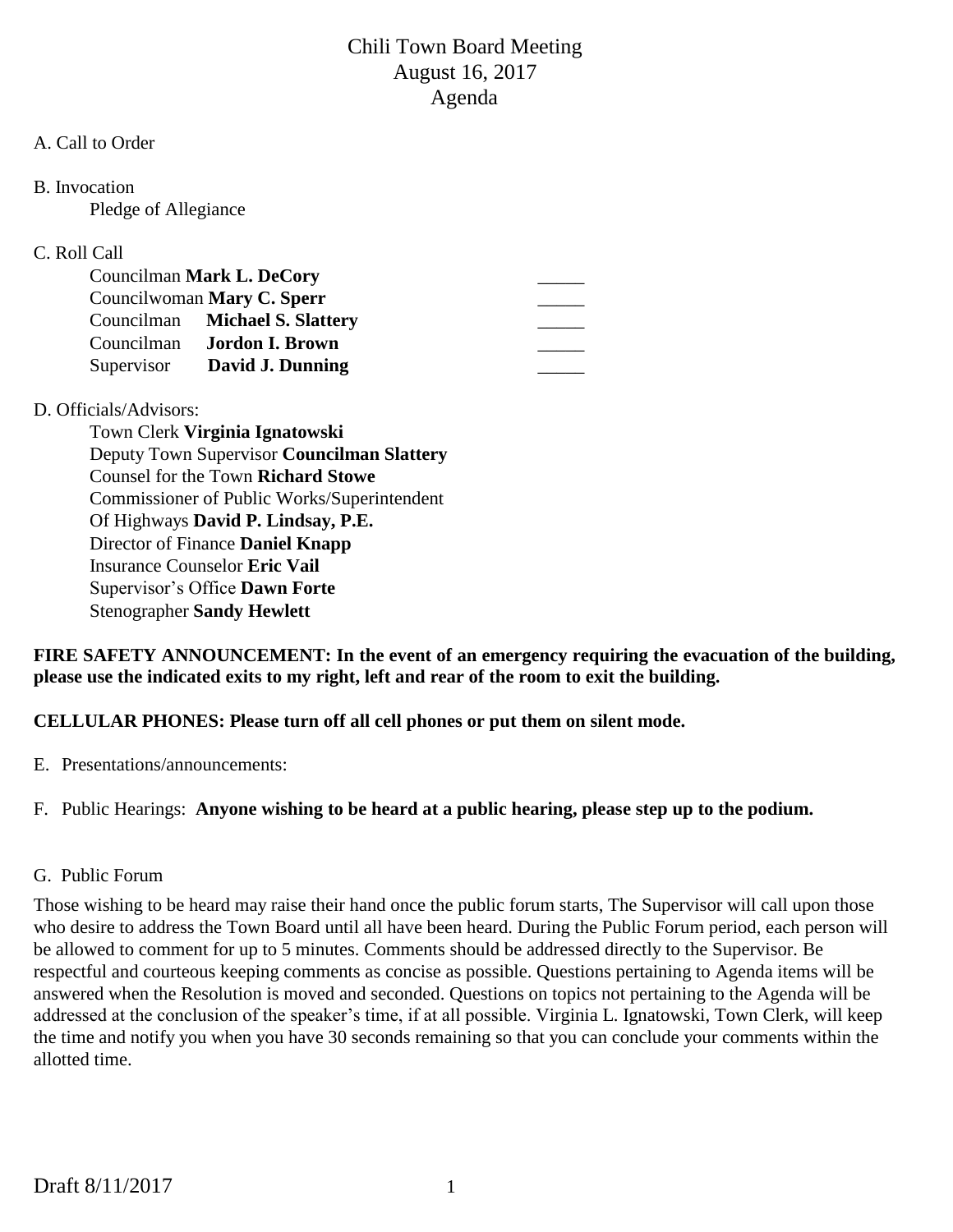#### A. Call to Order

B. Invocation

Pledge of Allegiance

## C. Roll Call

| Councilman Mark L. DeCory |                                   |  |
|---------------------------|-----------------------------------|--|
|                           | Councilwoman Mary C. Sperr        |  |
|                           | Councilman Michael S. Slattery    |  |
|                           | Councilman <b>Jordon I. Brown</b> |  |
|                           | Supervisor David J. Dunning       |  |

## D. Officials/Advisors:

Town Clerk **Virginia Ignatowski** Deputy Town Supervisor **Councilman Slattery** Counsel for the Town **Richard Stowe** Commissioner of Public Works/Superintendent Of Highways **David P. Lindsay, P.E.** Director of Finance **Daniel Knapp** Insurance Counselor **Eric Vail** Supervisor's Office **Dawn Forte** Stenographer **Sandy Hewlett**

**FIRE SAFETY ANNOUNCEMENT: In the event of an emergency requiring the evacuation of the building, please use the indicated exits to my right, left and rear of the room to exit the building.**

**CELLULAR PHONES: Please turn off all cell phones or put them on silent mode.**

E. Presentations/announcements:

F. Public Hearings: **Anyone wishing to be heard at a public hearing, please step up to the podium.**

## G. Public Forum

Those wishing to be heard may raise their hand once the public forum starts, The Supervisor will call upon those who desire to address the Town Board until all have been heard. During the Public Forum period, each person will be allowed to comment for up to 5 minutes. Comments should be addressed directly to the Supervisor. Be respectful and courteous keeping comments as concise as possible. Questions pertaining to Agenda items will be answered when the Resolution is moved and seconded. Questions on topics not pertaining to the Agenda will be addressed at the conclusion of the speaker's time, if at all possible. Virginia L. Ignatowski, Town Clerk, will keep the time and notify you when you have 30 seconds remaining so that you can conclude your comments within the allotted time.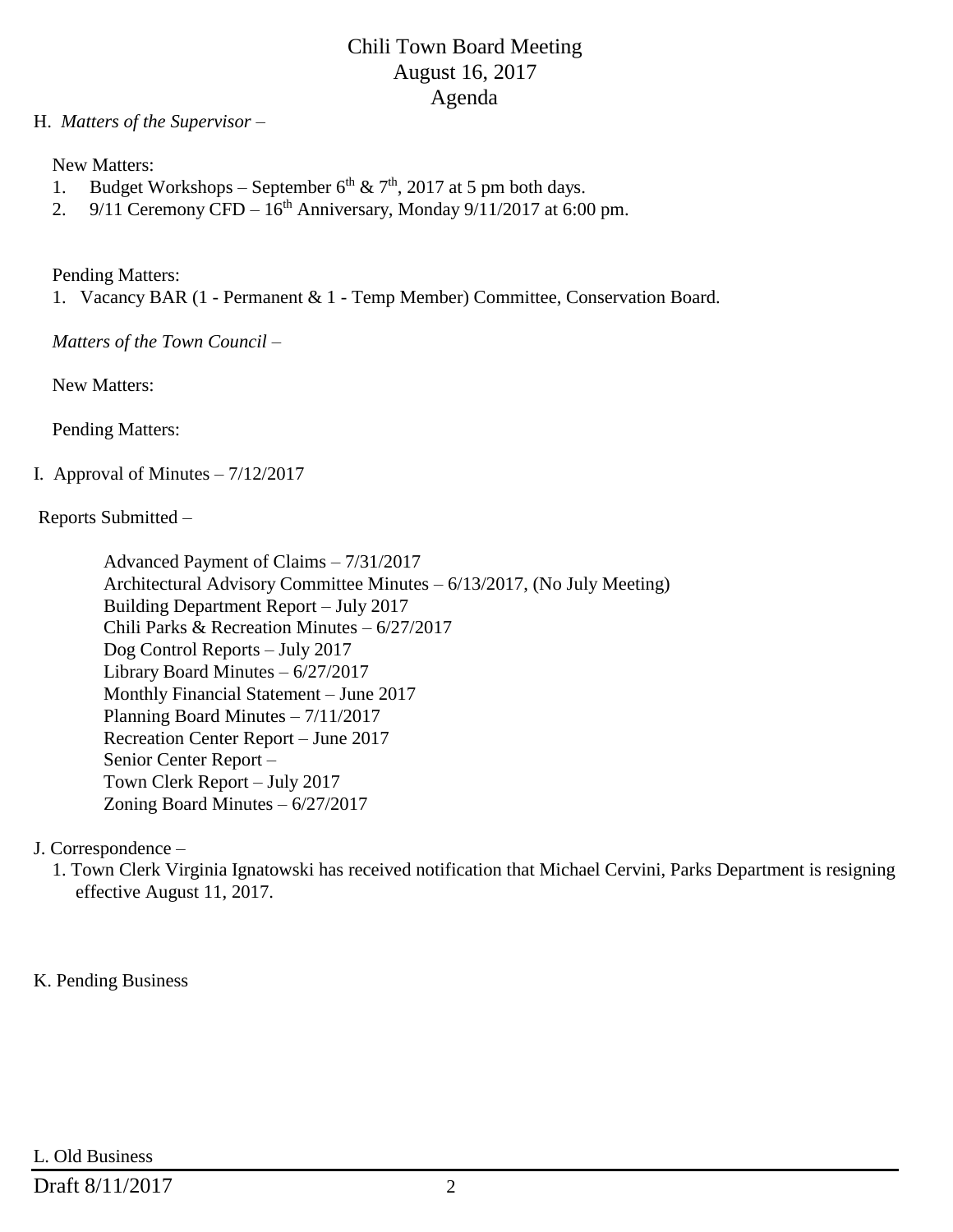### H. *Matters of the Supervisor –*

New Matters:

- 1. Budget Workshops September  $6^{th}$  &  $7^{th}$ , 2017 at 5 pm both days.
- 2. 9/11 Ceremony CFD  $16<sup>th</sup>$  Anniversary, Monday 9/11/2017 at 6:00 pm.

Pending Matters:

1. Vacancy BAR (1 - Permanent & 1 - Temp Member) Committee, Conservation Board.

*Matters of the Town Council –*

New Matters:

Pending Matters:

## I. Approval of Minutes  $-7/12/2017$

Reports Submitted –

 Advanced Payment of Claims – 7/31/2017 Architectural Advisory Committee Minutes – 6/13/2017, (No July Meeting) Building Department Report – July 2017 Chili Parks & Recreation Minutes – 6/27/2017 Dog Control Reports – July 2017 Library Board Minutes – 6/27/2017 Monthly Financial Statement – June 2017 Planning Board Minutes – 7/11/2017 Recreation Center Report – June 2017 Senior Center Report – Town Clerk Report – July 2017 Zoning Board Minutes – 6/27/2017

J. Correspondence –

 1. Town Clerk Virginia Ignatowski has received notification that Michael Cervini, Parks Department is resigning effective August 11, 2017.

## K. Pending Business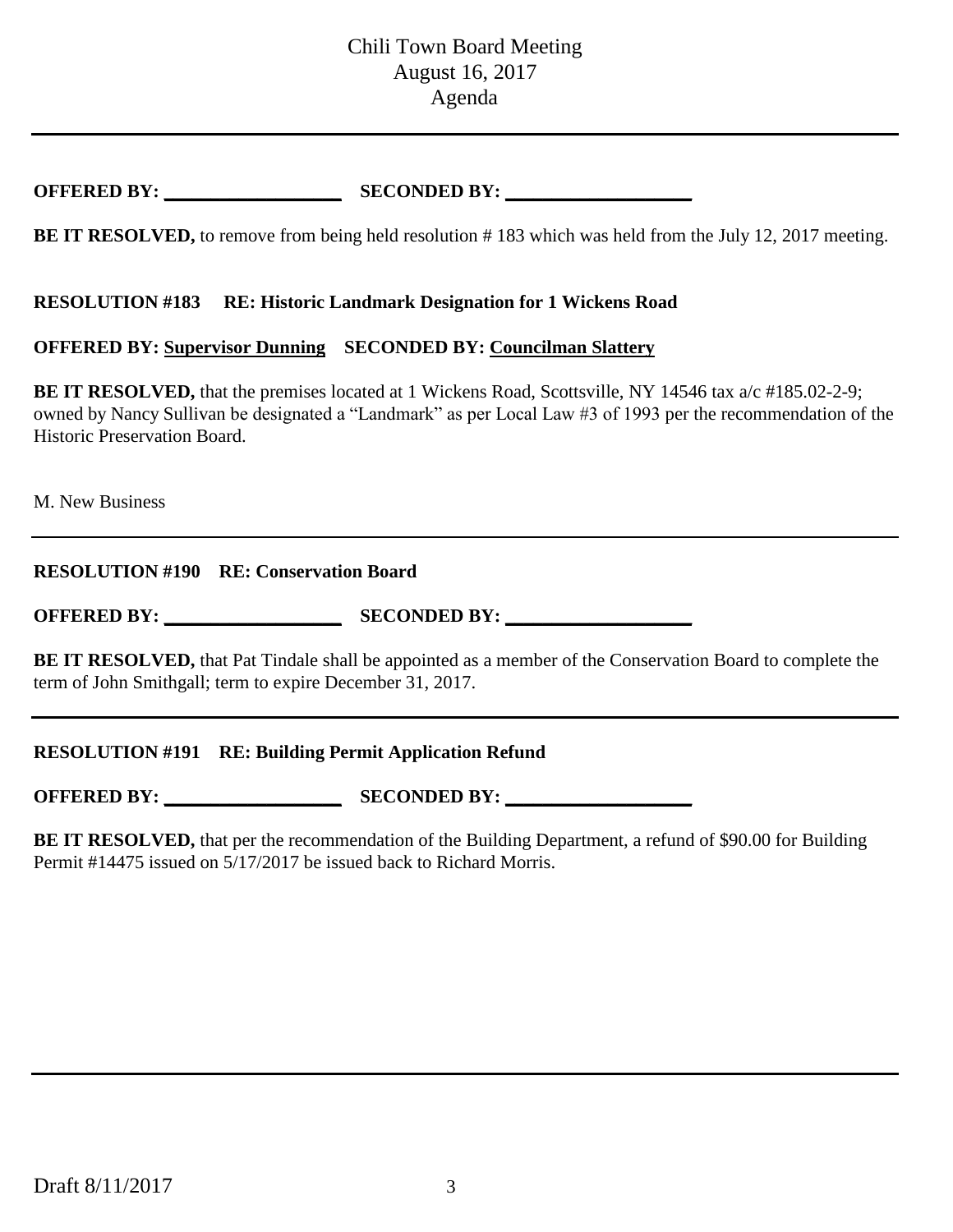# **OFFERED BY: \_\_\_\_\_\_\_\_\_\_\_\_\_\_\_\_\_\_\_ SECONDED BY: \_\_\_\_\_\_\_\_\_\_\_\_\_\_\_\_\_\_\_\_**

**BE IT RESOLVED,** to remove from being held resolution # 183 which was held from the July 12, 2017 meeting.

#### **RESOLUTION #183 RE: Historic Landmark Designation for 1 Wickens Road**

#### **OFFERED BY: Supervisor Dunning SECONDED BY: Councilman Slattery**

**BE IT RESOLVED,** that the premises located at 1 Wickens Road, Scottsville, NY 14546 tax a/c #185.02-2-9; owned by Nancy Sullivan be designated a "Landmark" as per Local Law #3 of 1993 per the recommendation of the Historic Preservation Board.

M. New Business

## **RESOLUTION #190 RE: Conservation Board**

**OFFERED BY: \_\_\_\_\_\_\_\_\_\_\_\_\_\_\_\_\_\_\_ SECONDED BY: \_\_\_\_\_\_\_\_\_\_\_\_\_\_\_\_\_\_\_\_**

**BE IT RESOLVED,** that Pat Tindale shall be appointed as a member of the Conservation Board to complete the term of John Smithgall; term to expire December 31, 2017.

**RESOLUTION #191 RE: Building Permit Application Refund**

**OFFERED BY: \_\_\_\_\_\_\_\_\_\_\_\_\_\_\_\_\_\_\_ SECONDED BY: \_\_\_\_\_\_\_\_\_\_\_\_\_\_\_\_\_\_\_\_**

**BE IT RESOLVED,** that per the recommendation of the Building Department, a refund of \$90.00 for Building Permit #14475 issued on 5/17/2017 be issued back to Richard Morris.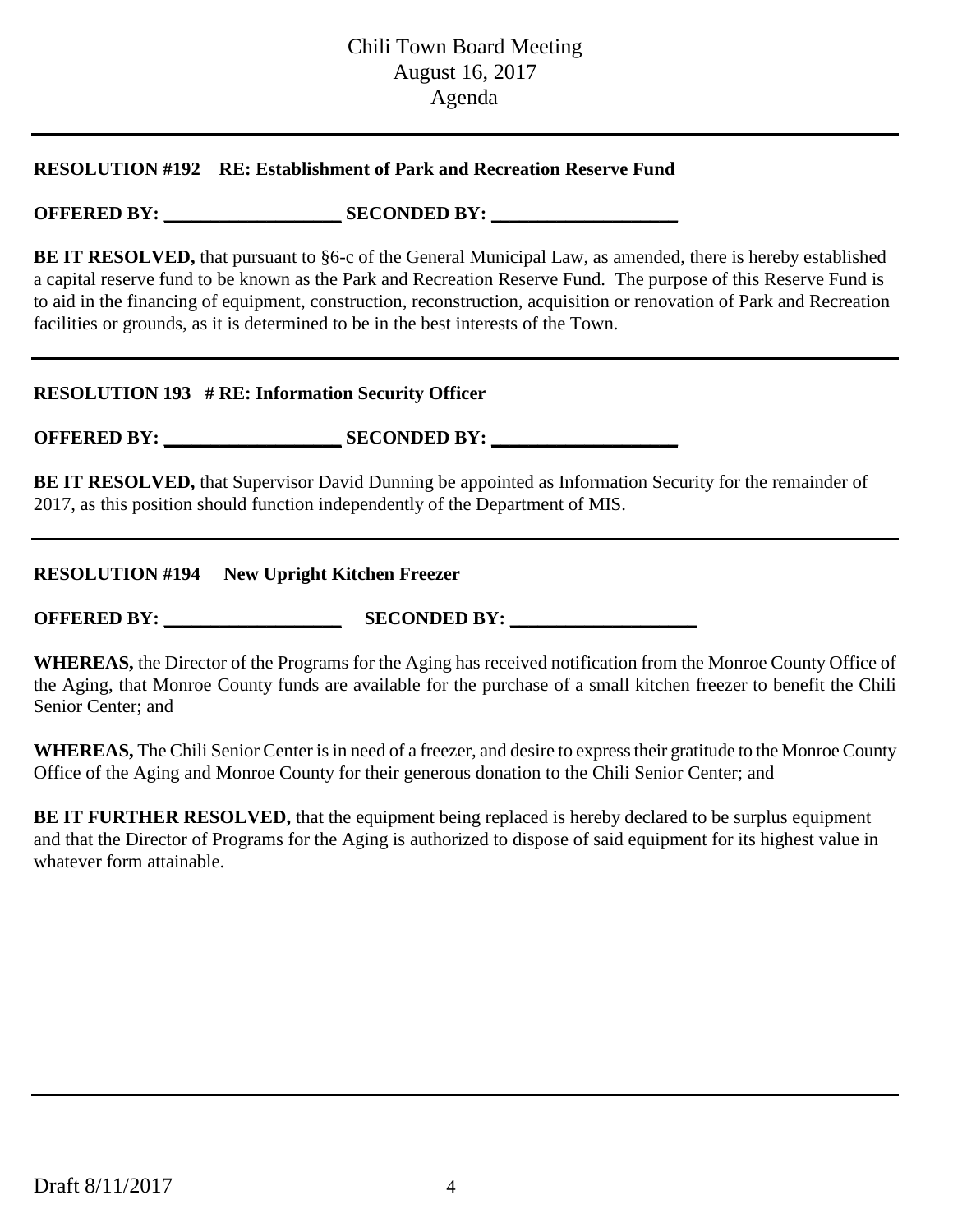### **RESOLUTION #192 RE: Establishment of Park and Recreation Reserve Fund**

**OFFERED BY: \_\_\_\_\_\_\_\_\_\_\_\_\_\_\_\_\_\_\_ SECONDED BY: \_\_\_\_\_\_\_\_\_\_\_\_\_\_\_\_\_\_\_\_**

**BE IT RESOLVED,** that pursuant to §6-c of the General Municipal Law, as amended, there is hereby established a capital reserve fund to be known as the Park and Recreation Reserve Fund. The purpose of this Reserve Fund is to aid in the financing of equipment, construction, reconstruction, acquisition or renovation of Park and Recreation facilities or grounds, as it is determined to be in the best interests of the Town.

#### **RESOLUTION 193 # RE: Information Security Officer**

**OFFERED BY: \_\_\_\_\_\_\_\_\_\_\_\_\_\_\_\_\_\_\_ SECONDED BY: \_\_\_\_\_\_\_\_\_\_\_\_\_\_\_\_\_\_\_\_**

**BE IT RESOLVED,** that Supervisor David Dunning be appointed as Information Security for the remainder of 2017, as this position should function independently of the Department of MIS.

#### **RESOLUTION #194 New Upright Kitchen Freezer**

**OFFERED BY: SECONDED BY:** 

**WHEREAS,** the Director of the Programs for the Aging has received notification from the Monroe County Office of the Aging, that Monroe County funds are available for the purchase of a small kitchen freezer to benefit the Chili Senior Center; and

**WHEREAS,** The Chili Senior Center is in need of a freezer, and desire to express their gratitude to the Monroe County Office of the Aging and Monroe County for their generous donation to the Chili Senior Center; and

**BE IT FURTHER RESOLVED,** that the equipment being replaced is hereby declared to be surplus equipment and that the Director of Programs for the Aging is authorized to dispose of said equipment for its highest value in whatever form attainable.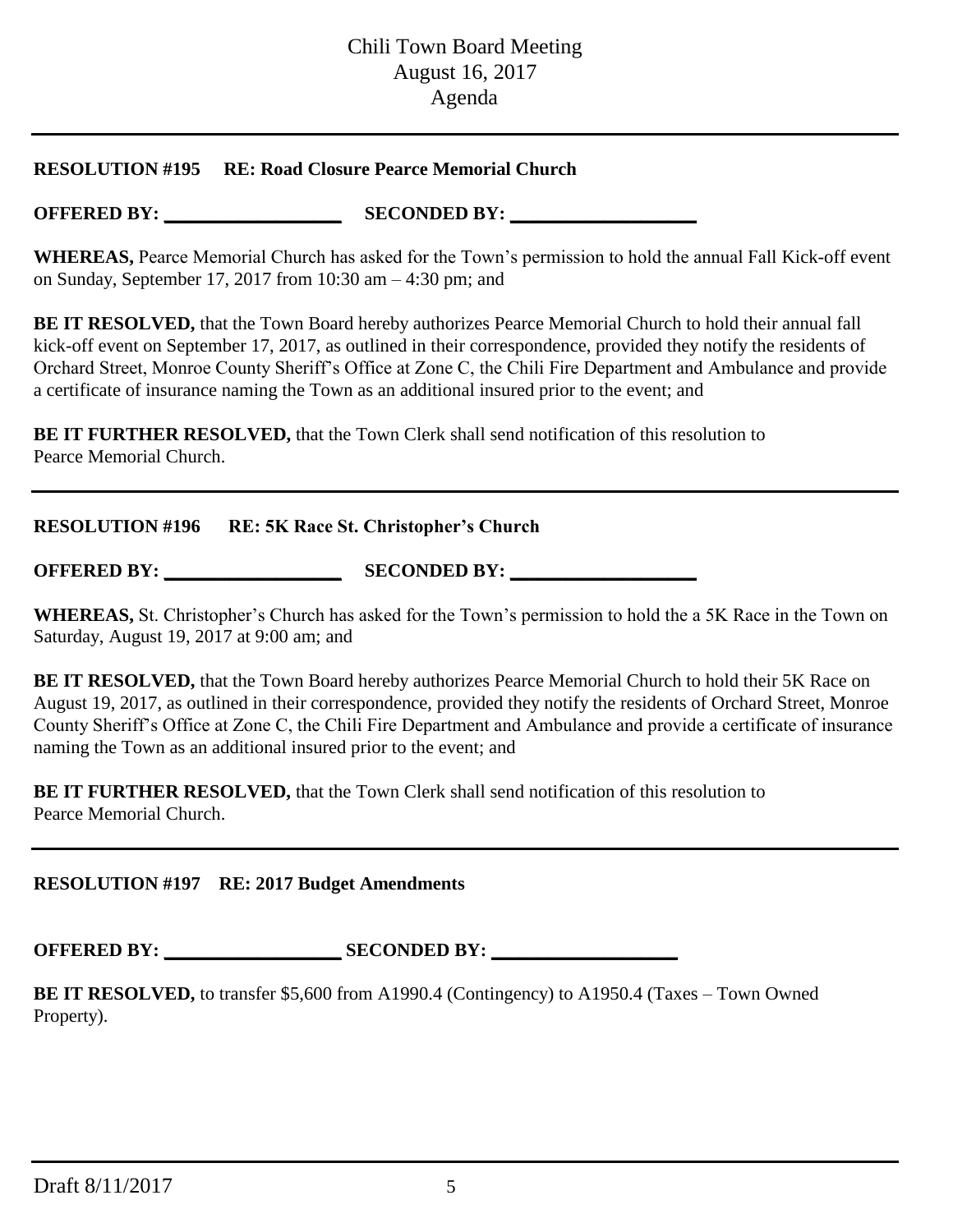#### **RESOLUTION #195 RE: Road Closure Pearce Memorial Church**

**OFFERED BY: \_\_\_\_\_\_\_\_\_\_\_\_\_\_\_\_\_\_\_ SECONDED BY: \_\_\_\_\_\_\_\_\_\_\_\_\_\_\_\_\_\_\_\_**

**WHEREAS,** Pearce Memorial Church has asked for the Town's permission to hold the annual Fall Kick-off event on Sunday, September 17, 2017 from 10:30 am – 4:30 pm; and

**BE IT RESOLVED,** that the Town Board hereby authorizes Pearce Memorial Church to hold their annual fall kick-off event on September 17, 2017, as outlined in their correspondence, provided they notify the residents of Orchard Street, Monroe County Sheriff's Office at Zone C, the Chili Fire Department and Ambulance and provide a certificate of insurance naming the Town as an additional insured prior to the event; and

**BE IT FURTHER RESOLVED, that the Town Clerk shall send notification of this resolution to** Pearce Memorial Church.

| <b>RESOLUTION #196</b> | <b>RE: 5K Race St. Christopher's Church</b> |  |
|------------------------|---------------------------------------------|--|
|------------------------|---------------------------------------------|--|

**OFFERED BY: \_\_\_\_\_\_\_\_\_\_\_\_\_\_\_\_\_\_\_ SECONDED BY: \_\_\_\_\_\_\_\_\_\_\_\_\_\_\_\_\_\_\_\_**

**WHEREAS,** St. Christopher's Church has asked for the Town's permission to hold the a 5K Race in the Town on Saturday, August 19, 2017 at 9:00 am; and

**BE IT RESOLVED,** that the Town Board hereby authorizes Pearce Memorial Church to hold their 5K Race on August 19, 2017, as outlined in their correspondence, provided they notify the residents of Orchard Street, Monroe County Sheriff's Office at Zone C, the Chili Fire Department and Ambulance and provide a certificate of insurance naming the Town as an additional insured prior to the event; and

**BE IT FURTHER RESOLVED, that the Town Clerk shall send notification of this resolution to** Pearce Memorial Church.

## **RESOLUTION #197 RE: 2017 Budget Amendments**

**OFFERED BY: \_\_\_\_\_\_\_\_\_\_\_\_\_\_\_\_\_\_\_ SECONDED BY: \_\_\_\_\_\_\_\_\_\_\_\_\_\_\_\_\_\_\_\_**

**BE IT RESOLVED,** to transfer \$5,600 from A1990.4 (Contingency) to A1950.4 (Taxes – Town Owned Property).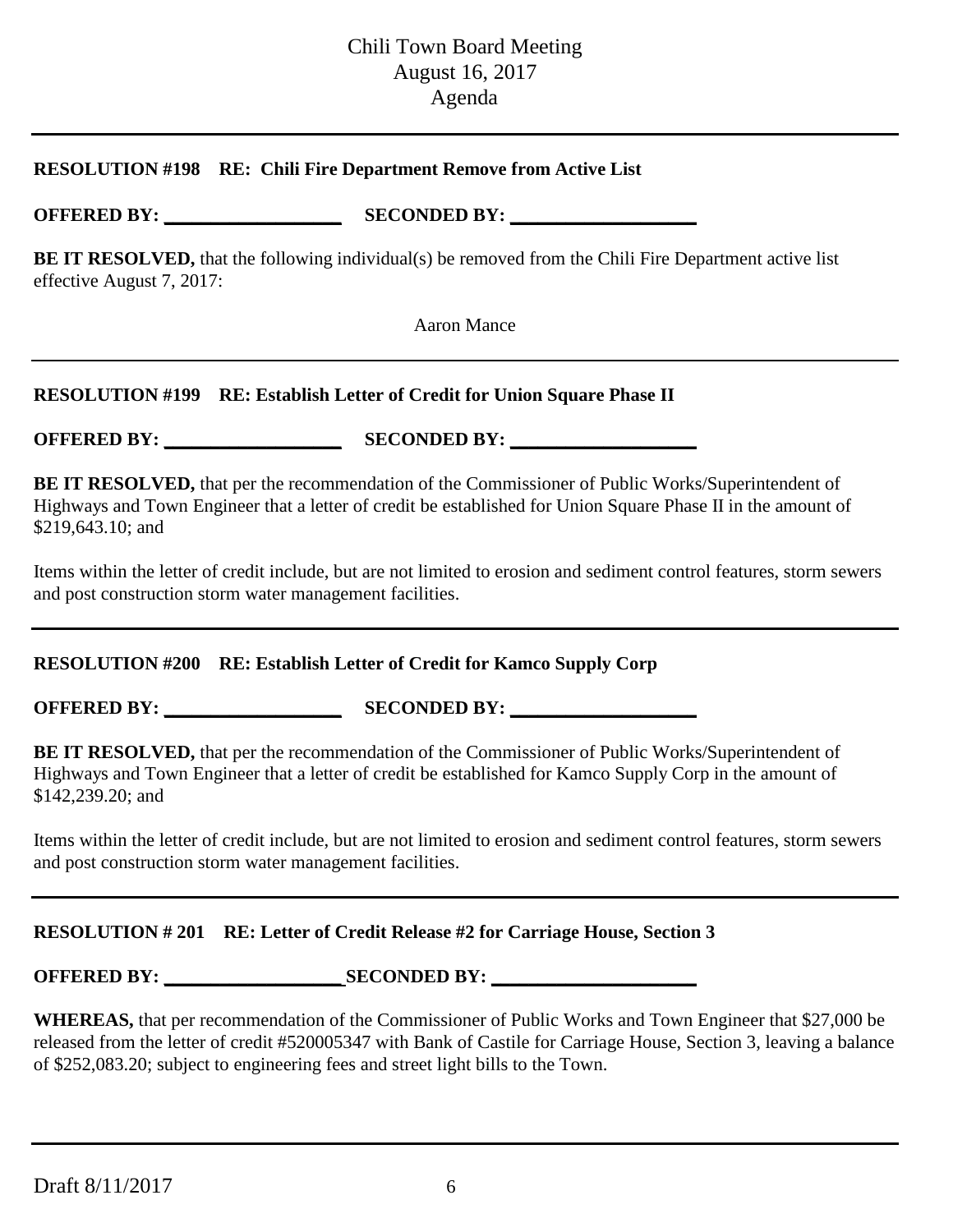#### **RESOLUTION #198 RE: Chili Fire Department Remove from Active List**

**OFFERED BY: \_\_\_\_\_\_\_\_\_\_\_\_\_\_\_\_\_\_\_ SECONDED BY: \_\_\_\_\_\_\_\_\_\_\_\_\_\_\_\_\_\_\_\_**

**BE IT RESOLVED,** that the following individual(s) be removed from the Chili Fire Department active list effective August 7, 2017:

Aaron Mance

## **RESOLUTION #199 RE: Establish Letter of Credit for Union Square Phase II**

**OFFERED BY: \_\_\_\_\_\_\_\_\_\_\_\_\_\_\_\_\_\_\_ SECONDED BY: \_\_\_\_\_\_\_\_\_\_\_\_\_\_\_\_\_\_\_\_**

**BE IT RESOLVED,** that per the recommendation of the Commissioner of Public Works/Superintendent of Highways and Town Engineer that a letter of credit be established for Union Square Phase II in the amount of \$219,643.10; and

Items within the letter of credit include, but are not limited to erosion and sediment control features, storm sewers and post construction storm water management facilities.

## **RESOLUTION #200 RE: Establish Letter of Credit for Kamco Supply Corp**

**OFFERED BY: \_\_\_\_\_\_\_\_\_\_\_\_\_\_\_\_\_\_\_ SECONDED BY: \_\_\_\_\_\_\_\_\_\_\_\_\_\_\_\_\_\_\_\_**

**BE IT RESOLVED,** that per the recommendation of the Commissioner of Public Works/Superintendent of Highways and Town Engineer that a letter of credit be established for Kamco Supply Corp in the amount of \$142,239.20; and

Items within the letter of credit include, but are not limited to erosion and sediment control features, storm sewers and post construction storm water management facilities.

## **RESOLUTION # 201 RE: Letter of Credit Release #2 for Carriage House, Section 3**

**OFFERED BY: SECONDED BY:** 

**WHEREAS,** that per recommendation of the Commissioner of Public Works and Town Engineer that \$27,000 be released from the letter of credit #520005347 with Bank of Castile for Carriage House, Section 3, leaving a balance of \$252,083.20; subject to engineering fees and street light bills to the Town.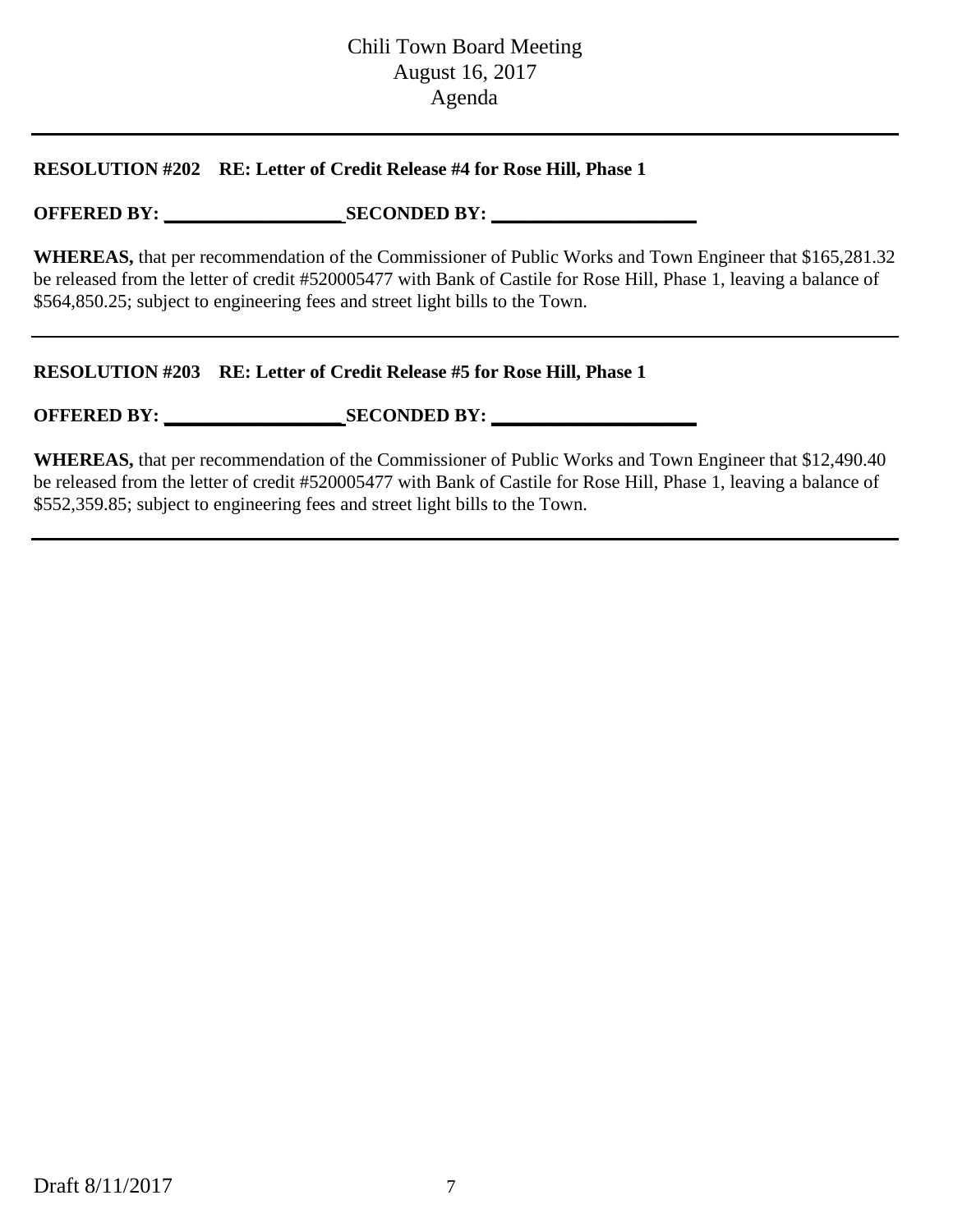#### **RESOLUTION #202 RE: Letter of Credit Release #4 for Rose Hill, Phase 1**

## **OFFERED BY: \_\_\_\_\_\_\_\_\_\_\_\_\_\_\_\_\_\_\_ SECONDED BY: \_\_\_\_\_\_\_\_\_\_\_\_\_\_\_\_\_\_\_\_\_\_**

**WHEREAS,** that per recommendation of the Commissioner of Public Works and Town Engineer that \$165,281.32 be released from the letter of credit #520005477 with Bank of Castile for Rose Hill, Phase 1, leaving a balance of \$564,850.25; subject to engineering fees and street light bills to the Town.

#### **RESOLUTION #203 RE: Letter of Credit Release #5 for Rose Hill, Phase 1**

## **OFFERED BY: \_\_\_\_\_\_\_\_\_\_\_\_\_\_\_\_\_\_\_ SECONDED BY: \_\_\_\_\_\_\_\_\_\_\_\_\_\_\_\_\_\_\_\_\_\_**

**WHEREAS,** that per recommendation of the Commissioner of Public Works and Town Engineer that \$12,490.40 be released from the letter of credit #520005477 with Bank of Castile for Rose Hill, Phase 1, leaving a balance of \$552,359.85; subject to engineering fees and street light bills to the Town.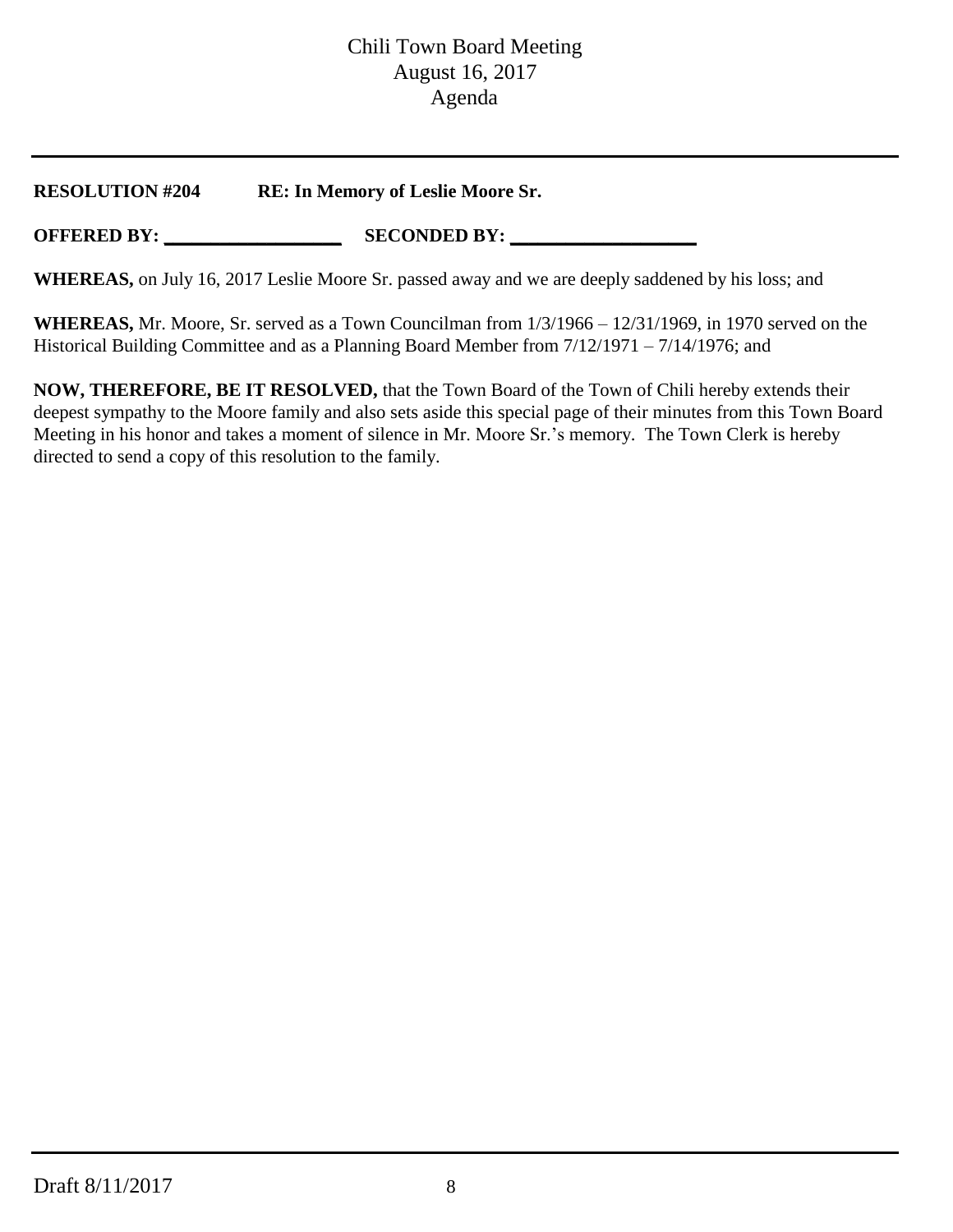**RESOLUTION #204 RE: In Memory of Leslie Moore Sr.**

**OFFERED BY: \_\_\_\_\_\_\_\_\_\_\_\_\_\_\_\_\_\_\_ SECONDED BY: \_\_\_\_\_\_\_\_\_\_\_\_\_\_\_\_\_\_\_\_**

**WHEREAS,** on July 16, 2017 Leslie Moore Sr. passed away and we are deeply saddened by his loss; and

**WHEREAS,** Mr. Moore, Sr. served as a Town Councilman from 1/3/1966 – 12/31/1969, in 1970 served on the Historical Building Committee and as a Planning Board Member from 7/12/1971 – 7/14/1976; and

**NOW, THEREFORE, BE IT RESOLVED,** that the Town Board of the Town of Chili hereby extends their deepest sympathy to the Moore family and also sets aside this special page of their minutes from this Town Board Meeting in his honor and takes a moment of silence in Mr. Moore Sr.'s memory. The Town Clerk is hereby directed to send a copy of this resolution to the family.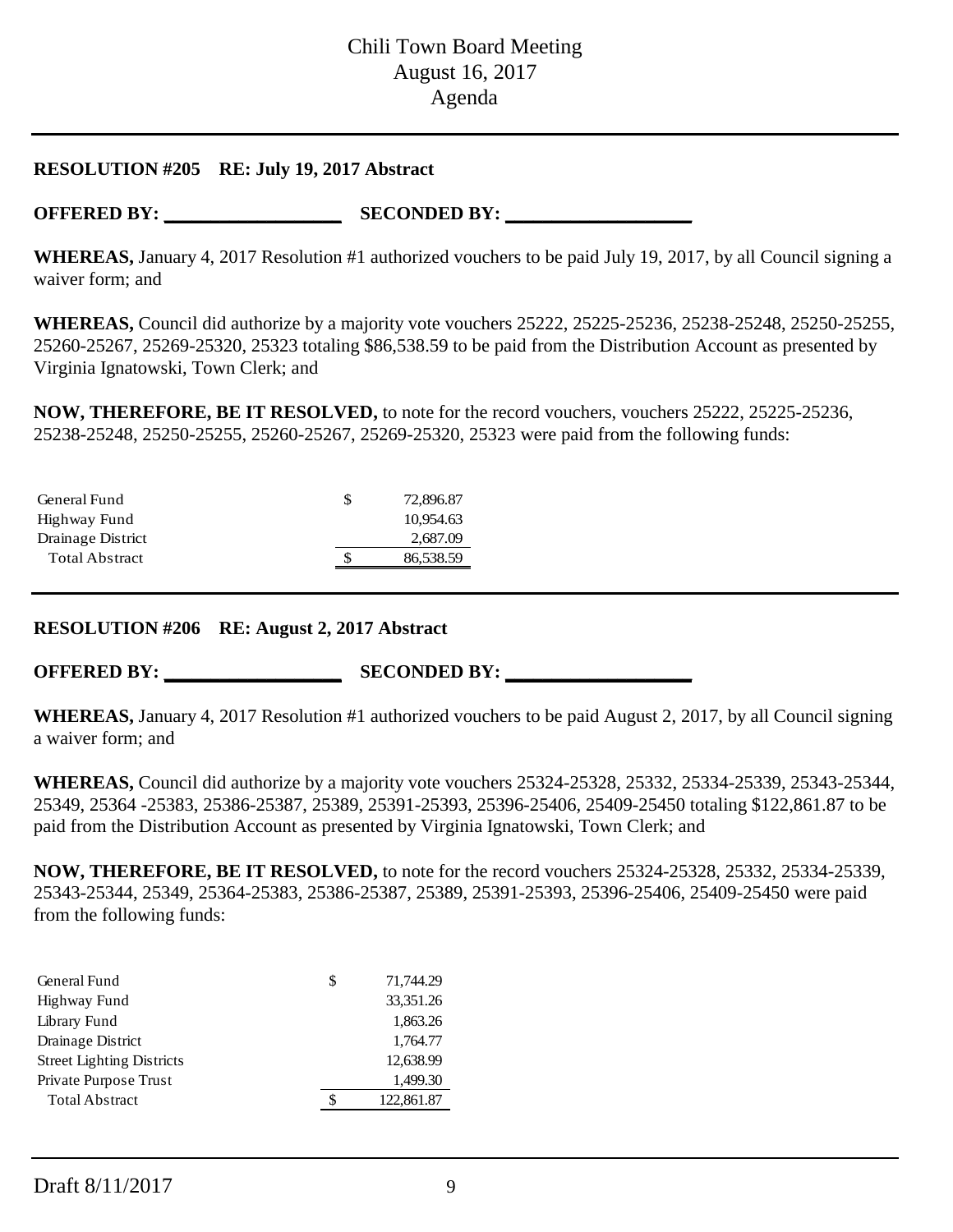#### **RESOLUTION #205 RE: July 19, 2017 Abstract**

**OFFERED BY: \_\_\_\_\_\_\_\_\_\_\_\_\_\_\_\_\_\_\_ SECONDED BY: \_\_\_\_\_\_\_\_\_\_\_\_\_\_\_\_\_\_\_\_**

**WHEREAS,** January 4, 2017 Resolution #1 authorized vouchers to be paid July 19, 2017, by all Council signing a waiver form; and

**WHEREAS,** Council did authorize by a majority vote vouchers 25222, 25225-25236, 25238-25248, 25250-25255, 25260-25267, 25269-25320, 25323 totaling \$86,538.59 to be paid from the Distribution Account as presented by Virginia Ignatowski, Town Clerk; and

**NOW, THEREFORE, BE IT RESOLVED,** to note for the record vouchers, vouchers 25222, 25225-25236, 25238-25248, 25250-25255, 25260-25267, 25269-25320, 25323 were paid from the following funds:

| General Fund          | S  | 72,896.87 |
|-----------------------|----|-----------|
| Highway Fund          |    | 10.954.63 |
| Drainage District     |    | 2,687.09  |
| <b>Total Abstract</b> | \$ | 86,538.59 |
|                       |    |           |

#### **RESOLUTION #206 RE: August 2, 2017 Abstract**

**OFFERED BY: \_\_\_\_\_\_\_\_\_\_\_\_\_\_\_\_\_\_\_ SECONDED BY: \_\_\_\_\_\_\_\_\_\_\_\_\_\_\_\_\_\_\_\_**

**WHEREAS,** January 4, 2017 Resolution #1 authorized vouchers to be paid August 2, 2017, by all Council signing a waiver form; and

**WHEREAS,** Council did authorize by a majority vote vouchers 25324-25328, 25332, 25334-25339, 25343-25344, 25349, 25364 -25383, 25386-25387, 25389, 25391-25393, 25396-25406, 25409-25450 totaling \$122,861.87 to be paid from the Distribution Account as presented by Virginia Ignatowski, Town Clerk; and

**NOW, THEREFORE, BE IT RESOLVED,** to note for the record vouchers 25324-25328, 25332, 25334-25339, 25343-25344, 25349, 25364-25383, 25386-25387, 25389, 25391-25393, 25396-25406, 25409-25450 were paid from the following funds:

| General Fund                     | S | 71,744.29  |
|----------------------------------|---|------------|
| Highway Fund                     |   | 33,351.26  |
| Library Fund                     |   | 1,863.26   |
| Drainage District                |   | 1,764.77   |
| <b>Street Lighting Districts</b> |   | 12,638.99  |
| Private Purpose Trust            |   | 1,499.30   |
| <b>Total Abstract</b>            |   | 122,861.87 |